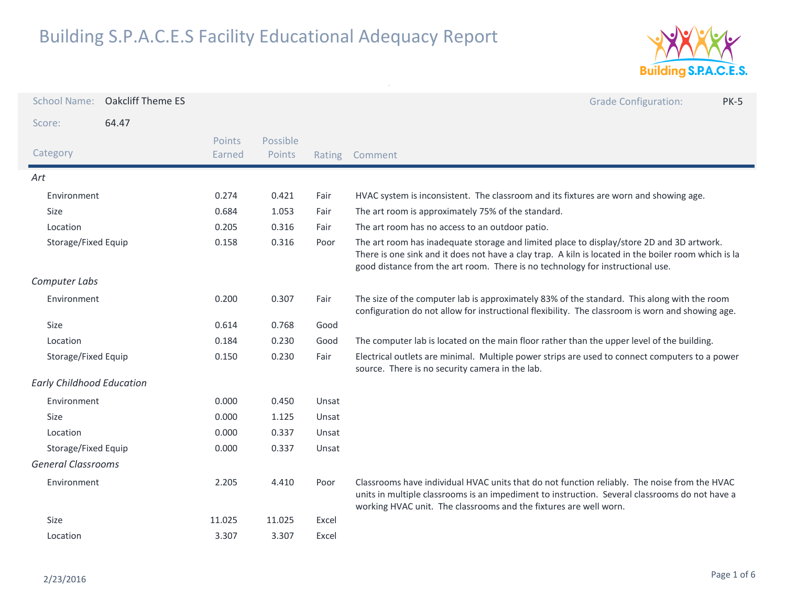

| <b>School Name:</b>              | <b>Oakcliff Theme ES</b> |                  |                    |        | <b>Grade Configuration:</b><br><b>PK-5</b>                                                                                                                                                                                                                                          |
|----------------------------------|--------------------------|------------------|--------------------|--------|-------------------------------------------------------------------------------------------------------------------------------------------------------------------------------------------------------------------------------------------------------------------------------------|
| Score:                           | 64.47                    |                  |                    |        |                                                                                                                                                                                                                                                                                     |
| Category                         |                          | Points<br>Earned | Possible<br>Points | Rating | Comment                                                                                                                                                                                                                                                                             |
| Art                              |                          |                  |                    |        |                                                                                                                                                                                                                                                                                     |
| Environment                      |                          | 0.274            | 0.421              | Fair   | HVAC system is inconsistent. The classroom and its fixtures are worn and showing age.                                                                                                                                                                                               |
| Size                             |                          | 0.684            | 1.053              | Fair   | The art room is approximately 75% of the standard.                                                                                                                                                                                                                                  |
| Location                         |                          | 0.205            | 0.316              | Fair   | The art room has no access to an outdoor patio.                                                                                                                                                                                                                                     |
| Storage/Fixed Equip              |                          | 0.158            | 0.316              | Poor   | The art room has inadequate storage and limited place to display/store 2D and 3D artwork.<br>There is one sink and it does not have a clay trap. A kiln is located in the boiler room which is la<br>good distance from the art room. There is no technology for instructional use. |
| Computer Labs                    |                          |                  |                    |        |                                                                                                                                                                                                                                                                                     |
| Environment                      |                          | 0.200            | 0.307              | Fair   | The size of the computer lab is approximately 83% of the standard. This along with the room<br>configuration do not allow for instructional flexibility. The classroom is worn and showing age.                                                                                     |
| Size                             |                          | 0.614            | 0.768              | Good   |                                                                                                                                                                                                                                                                                     |
| Location                         |                          | 0.184            | 0.230              | Good   | The computer lab is located on the main floor rather than the upper level of the building.                                                                                                                                                                                          |
| Storage/Fixed Equip              |                          | 0.150            | 0.230              | Fair   | Electrical outlets are minimal. Multiple power strips are used to connect computers to a power<br>source. There is no security camera in the lab.                                                                                                                                   |
| <b>Early Childhood Education</b> |                          |                  |                    |        |                                                                                                                                                                                                                                                                                     |
| Environment                      |                          | 0.000            | 0.450              | Unsat  |                                                                                                                                                                                                                                                                                     |
| Size                             |                          | 0.000            | 1.125              | Unsat  |                                                                                                                                                                                                                                                                                     |
| Location                         |                          | 0.000            | 0.337              | Unsat  |                                                                                                                                                                                                                                                                                     |
| Storage/Fixed Equip              |                          | 0.000            | 0.337              | Unsat  |                                                                                                                                                                                                                                                                                     |
| <b>General Classrooms</b>        |                          |                  |                    |        |                                                                                                                                                                                                                                                                                     |
| Environment                      |                          | 2.205            | 4.410              | Poor   | Classrooms have individual HVAC units that do not function reliably. The noise from the HVAC<br>units in multiple classrooms is an impediment to instruction. Several classrooms do not have a<br>working HVAC unit. The classrooms and the fixtures are well worn.                 |
| Size                             |                          | 11.025           | 11.025             | Excel  |                                                                                                                                                                                                                                                                                     |
| Location                         |                          | 3.307            | 3.307              | Excel  |                                                                                                                                                                                                                                                                                     |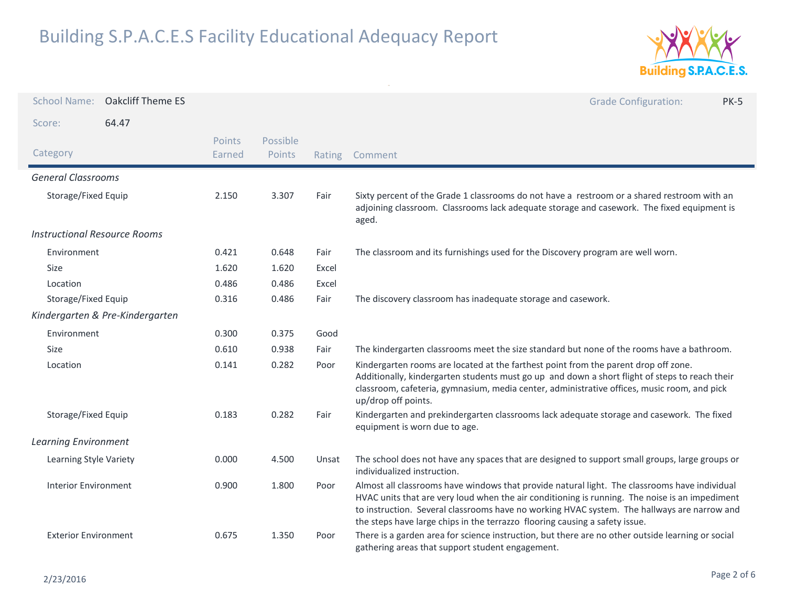

| <b>School Name:</b>                 | <b>Oakcliff Theme ES</b>        |                  |                    |        | <b>Grade Configuration:</b><br><b>PK-5</b>                                                                                                                                                                                                                                                                                                                                    |
|-------------------------------------|---------------------------------|------------------|--------------------|--------|-------------------------------------------------------------------------------------------------------------------------------------------------------------------------------------------------------------------------------------------------------------------------------------------------------------------------------------------------------------------------------|
| Score:                              | 64.47                           |                  |                    |        |                                                                                                                                                                                                                                                                                                                                                                               |
| Category                            |                                 | Points<br>Earned | Possible<br>Points | Rating | Comment                                                                                                                                                                                                                                                                                                                                                                       |
| <b>General Classrooms</b>           |                                 |                  |                    |        |                                                                                                                                                                                                                                                                                                                                                                               |
| Storage/Fixed Equip                 |                                 | 2.150            | 3.307              | Fair   | Sixty percent of the Grade 1 classrooms do not have a restroom or a shared restroom with an<br>adjoining classroom. Classrooms lack adequate storage and casework. The fixed equipment is<br>aged.                                                                                                                                                                            |
| <b>Instructional Resource Rooms</b> |                                 |                  |                    |        |                                                                                                                                                                                                                                                                                                                                                                               |
| Environment                         |                                 | 0.421            | 0.648              | Fair   | The classroom and its furnishings used for the Discovery program are well worn.                                                                                                                                                                                                                                                                                               |
| Size                                |                                 | 1.620            | 1.620              | Excel  |                                                                                                                                                                                                                                                                                                                                                                               |
| Location                            |                                 | 0.486            | 0.486              | Excel  |                                                                                                                                                                                                                                                                                                                                                                               |
| Storage/Fixed Equip                 |                                 | 0.316            | 0.486              | Fair   | The discovery classroom has inadequate storage and casework.                                                                                                                                                                                                                                                                                                                  |
|                                     | Kindergarten & Pre-Kindergarten |                  |                    |        |                                                                                                                                                                                                                                                                                                                                                                               |
| Environment                         |                                 | 0.300            | 0.375              | Good   |                                                                                                                                                                                                                                                                                                                                                                               |
| Size                                |                                 | 0.610            | 0.938              | Fair   | The kindergarten classrooms meet the size standard but none of the rooms have a bathroom.                                                                                                                                                                                                                                                                                     |
| Location                            |                                 | 0.141            | 0.282              | Poor   | Kindergarten rooms are located at the farthest point from the parent drop off zone.<br>Additionally, kindergarten students must go up and down a short flight of steps to reach their<br>classroom, cafeteria, gymnasium, media center, administrative offices, music room, and pick<br>up/drop off points.                                                                   |
| Storage/Fixed Equip                 |                                 | 0.183            | 0.282              | Fair   | Kindergarten and prekindergarten classrooms lack adequate storage and casework. The fixed<br>equipment is worn due to age.                                                                                                                                                                                                                                                    |
| <b>Learning Environment</b>         |                                 |                  |                    |        |                                                                                                                                                                                                                                                                                                                                                                               |
| Learning Style Variety              |                                 | 0.000            | 4.500              | Unsat  | The school does not have any spaces that are designed to support small groups, large groups or<br>individualized instruction.                                                                                                                                                                                                                                                 |
| <b>Interior Environment</b>         |                                 | 0.900            | 1.800              | Poor   | Almost all classrooms have windows that provide natural light. The classrooms have individual<br>HVAC units that are very loud when the air conditioning is running. The noise is an impediment<br>to instruction. Several classrooms have no working HVAC system. The hallways are narrow and<br>the steps have large chips in the terrazzo flooring causing a safety issue. |
| <b>Exterior Environment</b>         |                                 | 0.675            | 1.350              | Poor   | There is a garden area for science instruction, but there are no other outside learning or social<br>gathering areas that support student engagement.                                                                                                                                                                                                                         |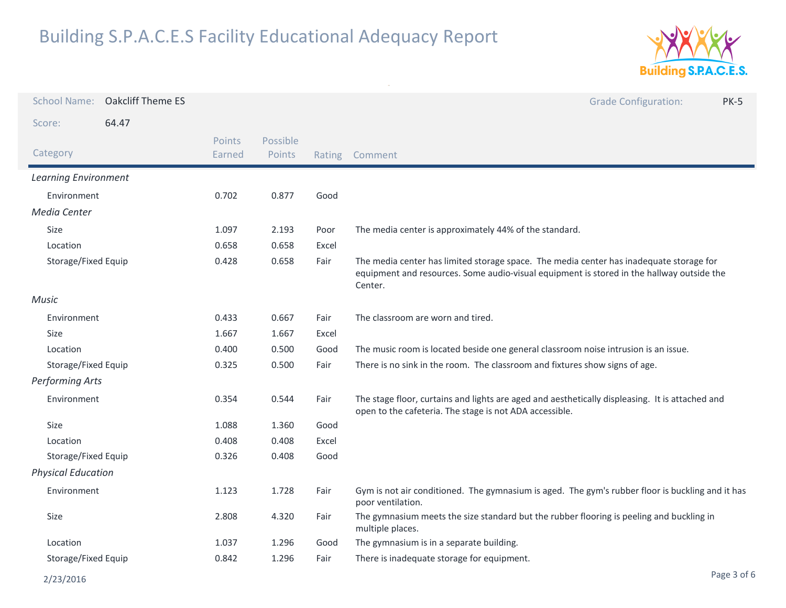

| <b>School Name:</b>       | <b>Oakcliff Theme ES</b> |                  |                    |       | <b>Grade Configuration:</b><br><b>PK-5</b>                                                                                                                                                      |
|---------------------------|--------------------------|------------------|--------------------|-------|-------------------------------------------------------------------------------------------------------------------------------------------------------------------------------------------------|
| Score:                    | 64.47                    |                  |                    |       |                                                                                                                                                                                                 |
| Category                  |                          | Points<br>Earned | Possible<br>Points |       | Rating Comment                                                                                                                                                                                  |
| Learning Environment      |                          |                  |                    |       |                                                                                                                                                                                                 |
| Environment               |                          | 0.702            | 0.877              | Good  |                                                                                                                                                                                                 |
| Media Center              |                          |                  |                    |       |                                                                                                                                                                                                 |
| <b>Size</b>               |                          | 1.097            | 2.193              | Poor  | The media center is approximately 44% of the standard.                                                                                                                                          |
| Location                  |                          | 0.658            | 0.658              | Excel |                                                                                                                                                                                                 |
| Storage/Fixed Equip       |                          | 0.428            | 0.658              | Fair  | The media center has limited storage space. The media center has inadequate storage for<br>equipment and resources. Some audio-visual equipment is stored in the hallway outside the<br>Center. |
| <b>Music</b>              |                          |                  |                    |       |                                                                                                                                                                                                 |
| Environment               |                          | 0.433            | 0.667              | Fair  | The classroom are worn and tired.                                                                                                                                                               |
| <b>Size</b>               |                          | 1.667            | 1.667              | Excel |                                                                                                                                                                                                 |
| Location                  |                          | 0.400            | 0.500              | Good  | The music room is located beside one general classroom noise intrusion is an issue.                                                                                                             |
| Storage/Fixed Equip       |                          | 0.325            | 0.500              | Fair  | There is no sink in the room. The classroom and fixtures show signs of age.                                                                                                                     |
| <b>Performing Arts</b>    |                          |                  |                    |       |                                                                                                                                                                                                 |
| Environment               |                          | 0.354            | 0.544              | Fair  | The stage floor, curtains and lights are aged and aesthetically displeasing. It is attached and<br>open to the cafeteria. The stage is not ADA accessible.                                      |
| <b>Size</b>               |                          | 1.088            | 1.360              | Good  |                                                                                                                                                                                                 |
| Location                  |                          | 0.408            | 0.408              | Excel |                                                                                                                                                                                                 |
| Storage/Fixed Equip       |                          | 0.326            | 0.408              | Good  |                                                                                                                                                                                                 |
| <b>Physical Education</b> |                          |                  |                    |       |                                                                                                                                                                                                 |
| Environment               |                          | 1.123            | 1.728              | Fair  | Gym is not air conditioned. The gymnasium is aged. The gym's rubber floor is buckling and it has<br>poor ventilation.                                                                           |
| Size                      |                          | 2.808            | 4.320              | Fair  | The gymnasium meets the size standard but the rubber flooring is peeling and buckling in<br>multiple places.                                                                                    |
| Location                  |                          | 1.037            | 1.296              | Good  | The gymnasium is in a separate building.                                                                                                                                                        |
| Storage/Fixed Equip       |                          | 0.842            | 1.296              | Fair  | There is inadequate storage for equipment.                                                                                                                                                      |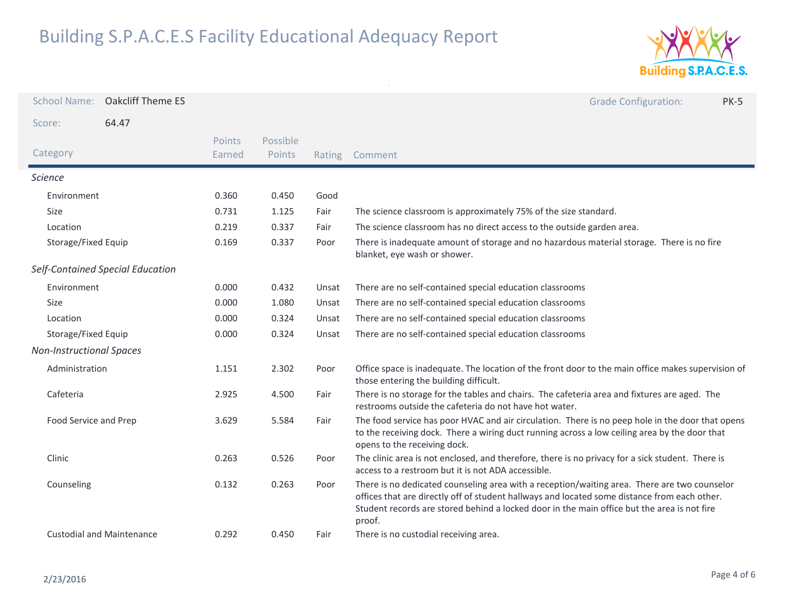

| <b>School Name:</b>             | <b>Oakcliff Theme ES</b>         |                  |                    |       |                                                                                                                                                                                                                                                                                                       | <b>Grade Configuration:</b> | <b>PK-5</b> |
|---------------------------------|----------------------------------|------------------|--------------------|-------|-------------------------------------------------------------------------------------------------------------------------------------------------------------------------------------------------------------------------------------------------------------------------------------------------------|-----------------------------|-------------|
| Score:                          | 64.47                            |                  |                    |       |                                                                                                                                                                                                                                                                                                       |                             |             |
| Category                        |                                  | Points<br>Earned | Possible<br>Points |       | Rating Comment                                                                                                                                                                                                                                                                                        |                             |             |
| <b>Science</b>                  |                                  |                  |                    |       |                                                                                                                                                                                                                                                                                                       |                             |             |
| Environment                     |                                  | 0.360            | 0.450              | Good  |                                                                                                                                                                                                                                                                                                       |                             |             |
| Size                            |                                  | 0.731            | 1.125              | Fair  | The science classroom is approximately 75% of the size standard.                                                                                                                                                                                                                                      |                             |             |
| Location                        |                                  | 0.219            | 0.337              | Fair  | The science classroom has no direct access to the outside garden area.                                                                                                                                                                                                                                |                             |             |
| Storage/Fixed Equip             |                                  | 0.169            | 0.337              | Poor  | There is inadequate amount of storage and no hazardous material storage. There is no fire<br>blanket, eye wash or shower.                                                                                                                                                                             |                             |             |
|                                 | Self-Contained Special Education |                  |                    |       |                                                                                                                                                                                                                                                                                                       |                             |             |
| Environment                     |                                  | 0.000            | 0.432              | Unsat | There are no self-contained special education classrooms                                                                                                                                                                                                                                              |                             |             |
| <b>Size</b>                     |                                  | 0.000            | 1.080              | Unsat | There are no self-contained special education classrooms                                                                                                                                                                                                                                              |                             |             |
| Location                        |                                  | 0.000            | 0.324              | Unsat | There are no self-contained special education classrooms                                                                                                                                                                                                                                              |                             |             |
| Storage/Fixed Equip             |                                  | 0.000            | 0.324              | Unsat | There are no self-contained special education classrooms                                                                                                                                                                                                                                              |                             |             |
| <b>Non-Instructional Spaces</b> |                                  |                  |                    |       |                                                                                                                                                                                                                                                                                                       |                             |             |
| Administration                  |                                  | 1.151            | 2.302              | Poor  | Office space is inadequate. The location of the front door to the main office makes supervision of<br>those entering the building difficult.                                                                                                                                                          |                             |             |
| Cafeteria                       |                                  | 2.925            | 4.500              | Fair  | There is no storage for the tables and chairs. The cafeteria area and fixtures are aged. The<br>restrooms outside the cafeteria do not have hot water.                                                                                                                                                |                             |             |
| Food Service and Prep           |                                  | 3.629            | 5.584              | Fair  | The food service has poor HVAC and air circulation. There is no peep hole in the door that opens<br>to the receiving dock. There a wiring duct running across a low ceiling area by the door that<br>opens to the receiving dock.                                                                     |                             |             |
| Clinic                          |                                  | 0.263            | 0.526              | Poor  | The clinic area is not enclosed, and therefore, there is no privacy for a sick student. There is<br>access to a restroom but it is not ADA accessible.                                                                                                                                                |                             |             |
| Counseling                      |                                  | 0.132            | 0.263              | Poor  | There is no dedicated counseling area with a reception/waiting area. There are two counselor<br>offices that are directly off of student hallways and located some distance from each other.<br>Student records are stored behind a locked door in the main office but the area is not fire<br>proof. |                             |             |
|                                 | <b>Custodial and Maintenance</b> | 0.292            | 0.450              | Fair  | There is no custodial receiving area.                                                                                                                                                                                                                                                                 |                             |             |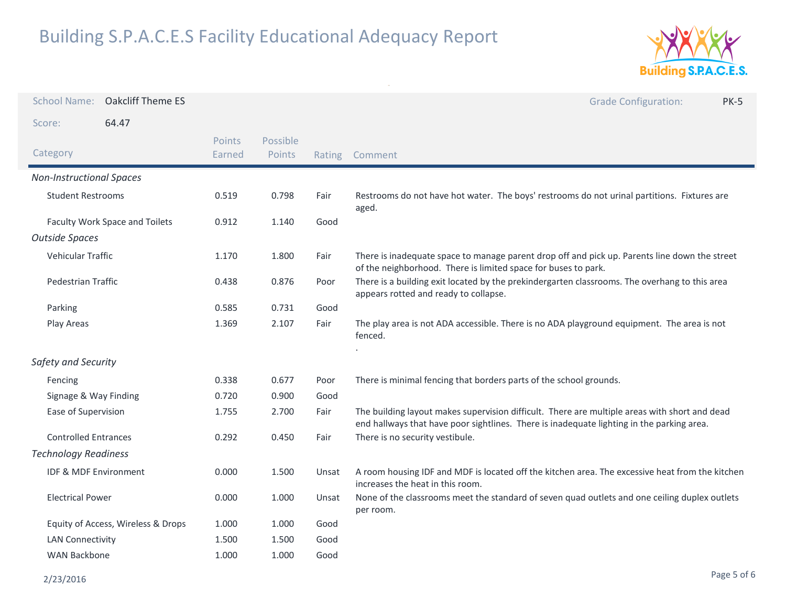

| <b>School Name:</b>             | <b>Oakcliff Theme ES</b>           |                  |                    |       | <b>Grade Configuration:</b><br><b>PK-5</b>                                                                                                                                                 |
|---------------------------------|------------------------------------|------------------|--------------------|-------|--------------------------------------------------------------------------------------------------------------------------------------------------------------------------------------------|
| Score:                          | 64.47                              |                  |                    |       |                                                                                                                                                                                            |
| Category                        |                                    | Points<br>Earned | Possible<br>Points |       | Rating Comment                                                                                                                                                                             |
| <b>Non-Instructional Spaces</b> |                                    |                  |                    |       |                                                                                                                                                                                            |
| <b>Student Restrooms</b>        |                                    | 0.519            | 0.798              | Fair  | Restrooms do not have hot water. The boys' restrooms do not urinal partitions. Fixtures are<br>aged.                                                                                       |
|                                 | Faculty Work Space and Toilets     | 0.912            | 1.140              | Good  |                                                                                                                                                                                            |
| <b>Outside Spaces</b>           |                                    |                  |                    |       |                                                                                                                                                                                            |
| Vehicular Traffic               |                                    | 1.170            | 1.800              | Fair  | There is inadequate space to manage parent drop off and pick up. Parents line down the street<br>of the neighborhood. There is limited space for buses to park.                            |
| <b>Pedestrian Traffic</b>       |                                    | 0.438            | 0.876              | Poor  | There is a building exit located by the prekindergarten classrooms. The overhang to this area<br>appears rotted and ready to collapse.                                                     |
| Parking                         |                                    | 0.585            | 0.731              | Good  |                                                                                                                                                                                            |
| Play Areas                      |                                    | 1.369            | 2.107              | Fair  | The play area is not ADA accessible. There is no ADA playground equipment. The area is not<br>fenced.                                                                                      |
| Safety and Security             |                                    |                  |                    |       |                                                                                                                                                                                            |
| Fencing                         |                                    | 0.338            | 0.677              | Poor  | There is minimal fencing that borders parts of the school grounds.                                                                                                                         |
| Signage & Way Finding           |                                    | 0.720            | 0.900              | Good  |                                                                                                                                                                                            |
| Ease of Supervision             |                                    | 1.755            | 2.700              | Fair  | The building layout makes supervision difficult. There are multiple areas with short and dead<br>end hallways that have poor sightlines. There is inadequate lighting in the parking area. |
| <b>Controlled Entrances</b>     |                                    | 0.292            | 0.450              | Fair  | There is no security vestibule.                                                                                                                                                            |
| <b>Technology Readiness</b>     |                                    |                  |                    |       |                                                                                                                                                                                            |
| IDF & MDF Environment           |                                    | 0.000            | 1.500              | Unsat | A room housing IDF and MDF is located off the kitchen area. The excessive heat from the kitchen<br>increases the heat in this room.                                                        |
| <b>Electrical Power</b>         |                                    | 0.000            | 1.000              | Unsat | None of the classrooms meet the standard of seven quad outlets and one ceiling duplex outlets<br>per room.                                                                                 |
|                                 | Equity of Access, Wireless & Drops | 1.000            | 1.000              | Good  |                                                                                                                                                                                            |
| <b>LAN Connectivity</b>         |                                    | 1.500            | 1.500              | Good  |                                                                                                                                                                                            |
| <b>WAN Backbone</b>             |                                    | 1.000            | 1.000              | Good  |                                                                                                                                                                                            |